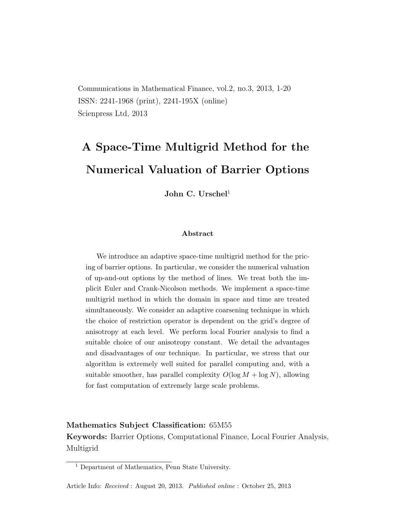Communications in Mathematical Finance, vol.2, no.3, 2013, 1-20 ISSN: 2241-1968 (print), 2241-195X (online) Scienpress Ltd, 2013

# A Space-Time Multigrid Method for the Numerical Valuation of Barrier Options

John C. Urschel<sup>1</sup>

#### Abstract

We introduce an adaptive space-time multigrid method for the pricing of barrier options. In particular, we consider the numerical valuation of up-and-out options by the method of lines. We treat both the implicit Euler and Crank-Nicolson methods. We implement a space-time multigrid method in which the domain in space and time are treated simultaneously. We consider an adaptive coarsening technique in which the choice of restriction operator is dependent on the grid's degree of anisotropy at each level. We perform local Fourier analysis to find a suitable choice of our anisotropy constant. We detail the advantages and disadvantages of our technique. In particular, we stress that our algorithm is extremely well suited for parallel computing and, with a suitable smoother, has parallel complexity  $O(\log M + \log N)$ , allowing for fast computation of extremely large scale problems.

### Mathematics Subject Classification: 65M55 Keywords: Barrier Options, Computational Finance, Local Fourier Analysis, Multigrid

<sup>1</sup> Department of Mathematics, Penn State University.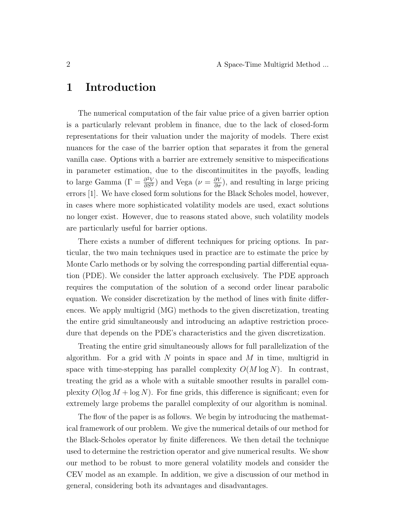#### 1 Introduction

The numerical computation of the fair value price of a given barrier option is a particularly relevant problem in finance, due to the lack of closed-form representations for their valuation under the majority of models. There exist nuances for the case of the barrier option that separates it from the general vanilla case. Options with a barrier are extremely sensitive to mispecifications in parameter estimation, due to the discontinuitites in the payoffs, leading to large Gamma ( $\Gamma = \frac{\partial^2 V}{\partial S^2}$ ) and Vega ( $\nu = \frac{\partial V}{\partial \sigma}$ ), and resulting in large pricing errors [1]. We have closed form solutions for the Black Scholes model, however, in cases where more sophisticated volatility models are used, exact solutions no longer exist. However, due to reasons stated above, such volatility models are particularly useful for barrier options.

There exists a number of different techniques for pricing options. In particular, the two main techniques used in practice are to estimate the price by Monte Carlo methods or by solving the corresponding partial differential equation (PDE). We consider the latter approach exclusively. The PDE approach requires the computation of the solution of a second order linear parabolic equation. We consider discretization by the method of lines with finite differences. We apply multigrid (MG) methods to the given discretization, treating the entire grid simultaneously and introducing an adaptive restriction procedure that depends on the PDE's characteristics and the given discretization.

Treating the entire grid simultaneously allows for full parallelization of the algorithm. For a grid with  $N$  points in space and  $M$  in time, multigrid in space with time-stepping has parallel complexity  $O(M \log N)$ . In contrast, treating the grid as a whole with a suitable smoother results in parallel complexity  $O(\log M + \log N)$ . For fine grids, this difference is significant; even for extremely large probems the parallel complexity of our algorithm is nominal.

The flow of the paper is as follows. We begin by introducing the mathematical framework of our problem. We give the numerical details of our method for the Black-Scholes operator by finite differences. We then detail the technique used to determine the restriction operator and give numerical results. We show our method to be robust to more general volatility models and consider the CEV model as an example. In addition, we give a discussion of our method in general, considering both its advantages and disadvantages.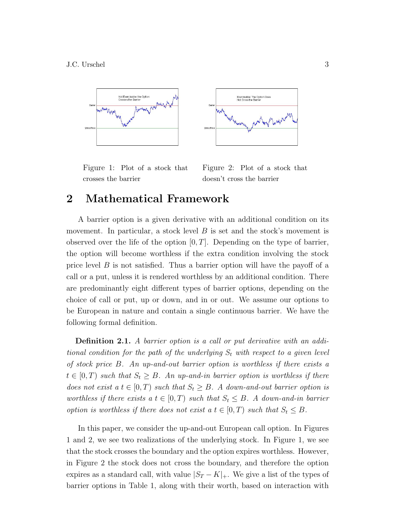

Figure 1: Plot of a stock that crosses the barrier

Figure 2: Plot of a stock that doesn't cross the barrier

# 2 Mathematical Framework

A barrier option is a given derivative with an additional condition on its movement. In particular, a stock level  $B$  is set and the stock's movement is observed over the life of the option  $[0, T]$ . Depending on the type of barrier, the option will become worthless if the extra condition involving the stock price level  $B$  is not satisfied. Thus a barrier option will have the payoff of a call or a put, unless it is rendered worthless by an additional condition. There are predominantly eight different types of barrier options, depending on the choice of call or put, up or down, and in or out. We assume our options to be European in nature and contain a single continuous barrier. We have the following formal definition.

**Definition 2.1.** A barrier option is a call or put derivative with an additional condition for the path of the underlying  $S_t$  with respect to a given level of stock price B. An up-and-out barrier option is worthless if there exists a  $t \in [0, T)$  such that  $S_t \geq B$ . An up-and-in barrier option is worthless if there does not exist a  $t \in [0, T)$  such that  $S_t \geq B$ . A down-and-out barrier option is worthless if there exists a  $t \in [0, T)$  such that  $S_t \leq B$ . A down-and-in barrier option is worthless if there does not exist a  $t \in [0, T)$  such that  $S_t \leq B$ .

In this paper, we consider the up-and-out European call option. In Figures 1 and 2, we see two realizations of the underlying stock. In Figure 1, we see that the stock crosses the boundary and the option expires worthless. However, in Figure 2 the stock does not cross the boundary, and therefore the option expires as a standard call, with value  $|S_T - K|_+$ . We give a list of the types of barrier options in Table 1, along with their worth, based on interaction with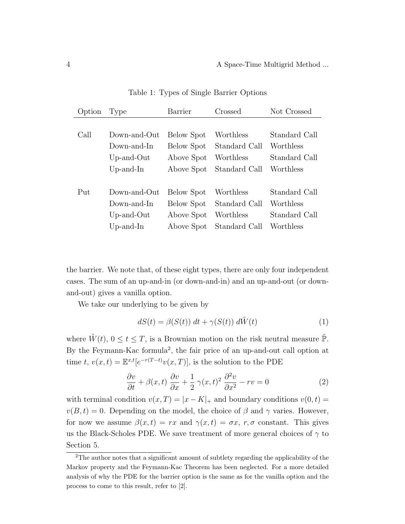| Option | Type             | Barrier    | Crossed       | Not Crossed                |  |
|--------|------------------|------------|---------------|----------------------------|--|
|        |                  |            |               |                            |  |
| Call   | Down-and-Out     | Below Spot | Worthless     | Standard Call<br>Worthless |  |
|        | Down-and-In      | Below Spot | Standard Call |                            |  |
|        | $Up$ -and- $Out$ | Above Spot | Worthless     | Standard Call              |  |
|        | $Up-and-In$      | Above Spot | Standard Call | Worthless                  |  |
|        |                  |            |               |                            |  |
| Put    | $Down-and-Out$   | Below Spot | Worthless     | Standard Call              |  |
|        | Down-and-In      | Below Spot | Standard Call | Worthless                  |  |
|        | $Up$ -and- $Out$ | Above Spot | Worthless     | Standard Call              |  |
|        | $Up-and-In$      | Above Spot | Standard Call | Worthless                  |  |

Table 1: Types of Single Barrier Options

the barrier. We note that, of these eight types, there are only four independent cases. The sum of an up-and-in (or down-and-in) and an up-and-out (or downand-out) gives a vanilla option.

We take our underlying to be given by

$$
dS(t) = \beta(S(t)) dt + \gamma(S(t)) d\tilde{W}(t)
$$
\n(1)

where  $\tilde{W}(t)$ ,  $0 \le t \le T$ , is a Brownian motion on the risk neutral measure  $\tilde{\mathbb{P}}$ . By the Feymann-Kac formula<sup>2</sup>, the fair price of an up-and-out call option at time t,  $v(x,t) = \mathbb{E}^{x,t}[e^{-r(T-t)}v(x,T)]$ , is the solution to the PDE

$$
\frac{\partial v}{\partial t} + \beta(x, t) \frac{\partial v}{\partial x} + \frac{1}{2} \gamma(x, t)^2 \frac{\partial^2 v}{\partial x^2} - rv = 0
$$
 (2)

with terminal condition  $v(x,T) = |x - K|_+$  and boundary conditions  $v(0,t) =$  $v(B, t) = 0$ . Depending on the model, the choice of  $\beta$  and  $\gamma$  varies. However, for now we assume  $\beta(x,t) = rx$  and  $\gamma(x,t) = \sigma x$ ,  $r, \sigma$  constant. This gives us the Black-Scholes PDE. We save treatment of more general choices of  $\gamma$  to Section 5.

<sup>2</sup>The author notes that a significant amount of subtlety regarding the applicability of the Markov property and the Feymann-Kac Theorem has been neglected. For a more detailed analysis of why the PDE for the barrier option is the same as for the vanilla option and the process to come to this result, refer to [2].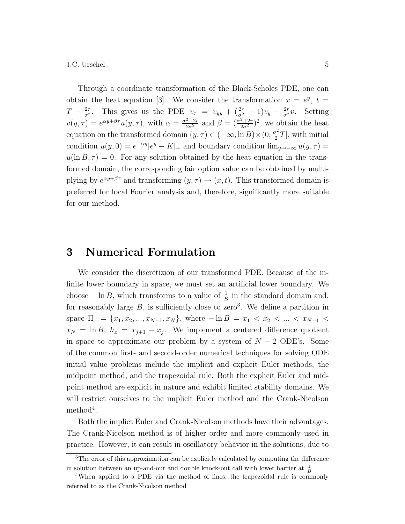Through a coordinate transformation of the Black-Scholes PDE, one can obtain the heat equation [3]. We consider the transformation  $x = e^y$ ,  $t =$  $T-\frac{2\tau}{\sigma^2}$  $\frac{2\tau}{\sigma^2}$ . This gives us the PDE  $v_\tau = v_{yy} + (\frac{2r}{\sigma^2} - 1)v_y - \frac{2r}{\sigma^2}v$ . Setting  $v(y,\tau) = e^{\alpha y + \beta \tau} u(y,\tau)$ , with  $\alpha = \frac{\sigma^2 - 2r}{2\sigma^2}$  and  $\beta = (\frac{\sigma^2 + 2r}{2\sigma^2})^2$ , we obtain the heat equation on the transformed domain  $(y, \tau) \in (-\infty, \ln B) \times (0, \frac{\sigma^2}{2})$  $\frac{r^2}{2}T$ , with initial condition  $u(y, 0) = e^{-\alpha y} |e^y - K|_+$  and boundary condition  $\lim_{y \to -\infty} u(y, \tau) =$  $u(\ln B, \tau) = 0$ . For any solution obtained by the heat equation in the transformed domain, the corresponding fair option value can be obtained by multiplying by  $e^{\alpha y + \beta \tau}$  and transforming  $(y, \tau) \to (x, t)$ . This transformed domain is preferred for local Fourier analysis and, therefore, significantly more suitable for our method.

### 3 Numerical Formulation

We consider the discretizion of our transformed PDE. Because of the infinite lower boundary in space, we must set an artificial lower boundary. We choose  $-\ln B$ , which transforms to a value of  $\frac{1}{B}$  in the standard domain and, for reasonably large  $B$ , is sufficiently close to zero<sup>3</sup>. We define a partition in space  $\Pi_x = \{x_1, x_2, ..., x_{N-1}, x_N\}$ , where  $-\ln B = x_1 < x_2 < ... < x_{N-1}$  $x_N = \ln B, h_x = x_{j+1} - x_j$ . We implement a centered difference quotient in space to approximate our problem by a system of  $N-2$  ODE's. Some of the common first- and second-order numerical techniques for solving ODE initial value problems include the implicit and explicit Euler methods, the midpoint method, and the trapezoidal rule. Both the explicit Euler and midpoint method are explicit in nature and exhibit limited stability domains. We will restrict ourselves to the implicit Euler method and the Crank-Nicolson  $\mathrm{method}^4$ .

Both the implict Euler and Crank-Nicolson methods have their advantages. The Crank-Nicolson method is of higher order and more commonly used in practice. However, it can result in oscillatory behavior in the solutions, due to

<sup>&</sup>lt;sup>3</sup>The error of this approximation can be explicitly calculated by computing the difference in solution between an up-and-out and double knock-out call with lower barrier at  $\frac{1}{B}$ 

<sup>&</sup>lt;sup>4</sup>When applied to a PDE via the method of lines, the trapezoidal rule is commonly referred to as the Crank-Nicolson method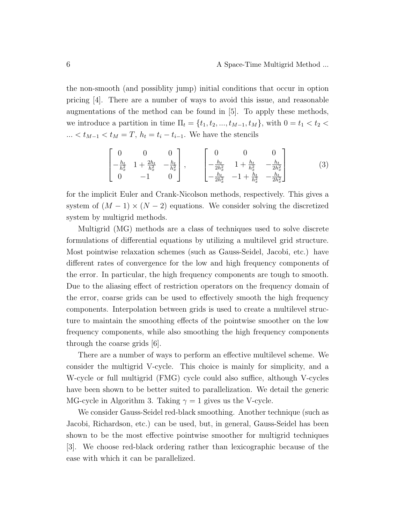the non-smooth (and possiblity jump) initial conditions that occur in option pricing [4]. There are a number of ways to avoid this issue, and reasonable augmentations of the method can be found in [5]. To apply these methods, we introduce a partition in time  $\Pi_t = \{t_1, t_2, ..., t_{M-1}, t_M\}$ , with  $0 = t_1 < t_2$ ...  $< t_{M-1} < t_M = T$ ,  $h_t = t_i - t_{i-1}$ . We have the stencils

$$
\begin{bmatrix} 0 & 0 & 0 \ -\frac{h_t}{h_x^2} & 1 + \frac{2h_t}{h_x^2} & -\frac{h_t}{h_x^2} \\ 0 & -1 & 0 \end{bmatrix}, \qquad \begin{bmatrix} 0 & 0 & 0 \\ -\frac{h_t}{2h_x^2} & 1 + \frac{h_t}{h_x^2} & -\frac{h_t}{2h_x^2} \\ -\frac{h_t}{2h_x^2} & -1 + \frac{h_t}{h_x^2} & -\frac{h_t}{2h_x^2} \end{bmatrix}
$$
(3)

for the implicit Euler and Crank-Nicolson methods, respectively. This gives a system of  $(M-1) \times (N-2)$  equations. We consider solving the discretized system by multigrid methods.

Multigrid (MG) methods are a class of techniques used to solve discrete formulations of differential equations by utilizing a multilevel grid structure. Most pointwise relaxation schemes (such as Gauss-Seidel, Jacobi, etc.) have different rates of convergence for the low and high frequency components of the error. In particular, the high frequency components are tough to smooth. Due to the aliasing effect of restriction operators on the frequency domain of the error, coarse grids can be used to effectively smooth the high frequency components. Interpolation between grids is used to create a multilevel structure to maintain the smoothing effects of the pointwise smoother on the low frequency components, while also smoothing the high frequency components through the coarse grids [6].

There are a number of ways to perform an effective multilevel scheme. We consider the multigrid V-cycle. This choice is mainly for simplicity, and a W-cycle or full multigrid (FMG) cycle could also suffice, although V-cycles have been shown to be better suited to parallelization. We detail the generic MG-cycle in Algorithm 3. Taking  $\gamma = 1$  gives us the V-cycle.

We consider Gauss-Seidel red-black smoothing. Another technique (such as Jacobi, Richardson, etc.) can be used, but, in general, Gauss-Seidel has been shown to be the most effective pointwise smoother for multigrid techniques [3]. We choose red-black ordering rather than lexicographic because of the ease with which it can be parallelized.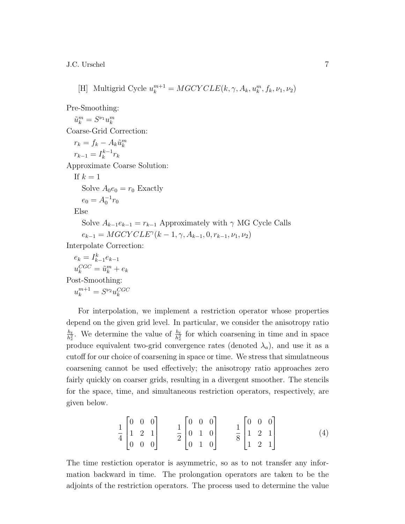[H] Multigrid Cycle  $u_k^{m+1} = MGCYCLE(k, \gamma, A_k, u_k^m, f_k, \nu_1, \nu_2)$ 

Pre-Smoothing:

 $\tilde{u}_k^m = S^{\nu_1} u_k^m$ Coarse-Grid Correction:

 $r_k = f_k - A_k \tilde{u}_k^m$  $r_{k-1} = I_k^{k-1}$  $k^{k-1}r_k$ Approximate Coarse Solution: If  $k=1$ 

Solve  $A_0e_0 = r_0$  Exactly  $e_0 = A_0^{-1} r_0$ 

Else

Solve  $A_{k-1}e_{k-1} = r_{k-1}$  Approximately with  $\gamma$  MG Cycle Calls  $e_{k-1} = MGCYCLE^{\gamma}(k-1, \gamma, A_{k-1}, 0, r_{k-1}, \nu_1, \nu_2)$ 

Interpolate Correction:

$$
e_k = I_{k-1}^k e_{k-1}
$$

$$
u_k^{CGC} = \tilde{u}_k^m + e_k
$$

$$
Post-Smoothing:
$$
u_k^{m+1} = S^{\nu_2} u_k^{CGC}
$$
$$

For interpolation, we implement a restriction operator whose properties depend on the given grid level. In particular, we consider the anisotropy ratio  $h_t$  $\frac{h_t}{h_x^2}$ . We determine the value of  $\frac{h_t}{h_x^2}$  for which coarsening in time and in space produce equivalent two-grid convergence rates (denoted  $\lambda_a$ ), and use it as a cutoff for our choice of coarsening in space or time. We stress that simulatneous coarsening cannot be used effectively; the anisotropy ratio approaches zero fairly quickly on coarser grids, resulting in a divergent smoother. The stencils for the space, time, and simultaneous restriction operators, respectively, are given below.

$$
\frac{1}{4} \begin{bmatrix} 0 & 0 & 0 \\ 1 & 2 & 1 \\ 0 & 0 & 0 \end{bmatrix} \qquad \frac{1}{2} \begin{bmatrix} 0 & 0 & 0 \\ 0 & 1 & 0 \\ 0 & 1 & 0 \end{bmatrix} \qquad \frac{1}{8} \begin{bmatrix} 0 & 0 & 0 \\ 1 & 2 & 1 \\ 1 & 2 & 1 \end{bmatrix} \tag{4}
$$

The time restiction operator is asymmetric, so as to not transfer any information backward in time. The prolongation operators are taken to be the adjoints of the restriction operators. The process used to determine the value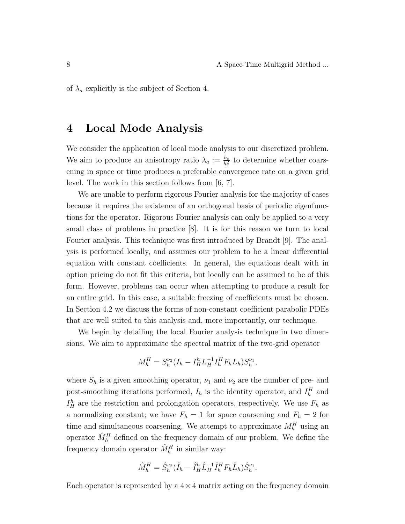of  $\lambda_a$  explicitly is the subject of Section 4.

# 4 Local Mode Analysis

We consider the application of local mode analysis to our discretized problem. We aim to produce an anisotropy ratio  $\lambda_a := \frac{h_t}{h_x^2}$  to determine whether coarsening in space or time produces a preferable convergence rate on a given grid level. The work in this section follows from [6, 7].

We are unable to perform rigorous Fourier analysis for the majority of cases because it requires the existence of an orthogonal basis of periodic eigenfunctions for the operator. Rigorous Fourier analysis can only be applied to a very small class of problems in practice [8]. It is for this reason we turn to local Fourier analysis. This technique was first introduced by Brandt [9]. The analysis is performed locally, and assumes our problem to be a linear differential equation with constant coefficients. In general, the equations dealt with in option pricing do not fit this criteria, but locally can be assumed to be of this form. However, problems can occur when attempting to produce a result for an entire grid. In this case, a suitable freezing of coefficients must be chosen. In Section 4.2 we discuss the forms of non-constant coefficient parabolic PDEs that are well suited to this analysis and, more importantly, our technique.

We begin by detailing the local Fourier analysis technique in two dimensions. We aim to approximate the spectral matrix of the two-grid operator

$$
M_h^H = S_h^{\nu_2} (I_h - I_H^h L_H^{-1} I_h^H F_h L_h) S_h^{\nu_1},
$$

where  $S_h$  is a given smoothing operator,  $\nu_1$  and  $\nu_2$  are the number of pre- and post-smoothing iterations performed,  $I_h$  is the identity operator, and  $I_h^H$  and  $I_H^h$  are the restriction and prolongation operators, respectively. We use  $F_h$  as a normalizing constant; we have  $F_h = 1$  for space coarsening and  $F_h = 2$  for time and simultaneous coarsening. We attempt to approximate  $M_h^H$  using an operator  $\hat{M}_{h}^{H}$  defined on the frequency domain of our problem. We define the frequency domain operator  $\hat{M}_h^H$  in similar way:

$$
\hat{M}_h^H = \hat{S}_h^{\nu_2} (\hat{I}_h - \hat{I}_H^h \hat{L}_H^{-1} \hat{I}_h^H F_h \hat{L}_h) \hat{S}_h^{\nu_1}.
$$

Each operator is represented by a  $4 \times 4$  matrix acting on the frequency domain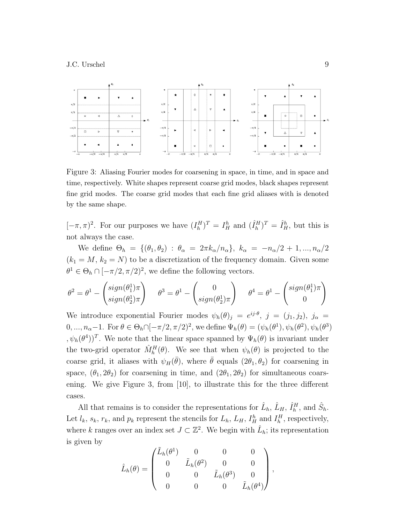

Figure 3: Aliasing Fourier modes for coarsening in space, in time, and in space and time, respectively. White shapes represent coarse grid modes, black shapes represent fine grid modes. The coarse grid modes that each fine grid aliases with is denoted by the same shape.

 $[-\pi, \pi)^2$ . For our purposes we have  $(I_h^H)^T = I_H^h$  and  $(\hat{I}_h^H)^T = \hat{I}_H^h$ , but this is not always the case.

We define  $\Theta_h = \{(\theta_1, \theta_2) : \theta_\alpha = 2\pi k_\alpha/n_\alpha\}, k_\alpha = -n_\alpha/2 + 1, ..., n_\alpha/2$  $(k_1 = M, k_2 = N)$  to be a discretization of the frequency domain. Given some  $\theta^1 \in \Theta_h \cap [-\pi/2, \pi/2)^2$ , we define the following vectors.

$$
\theta^2 = \theta^1 - \begin{pmatrix} sign(\theta_1^1)\pi \\ sign(\theta_2^1)\pi \end{pmatrix} \quad \theta^3 = \theta^1 - \begin{pmatrix} 0 \\ sign(\theta_2^1)\pi \end{pmatrix} \quad \theta^4 = \theta^1 - \begin{pmatrix} sign(\theta_1^1)\pi \\ 0 \end{pmatrix}
$$

We introduce exponential Fourier modes  $\psi_h(\theta)_j = e^{ij \cdot \theta}, j = (j_1, j_2), j_\alpha =$  $0, ..., n_{\alpha}-1$ . For  $\theta \in \Theta_h \cap [-\pi/2, \pi/2)^2$ , we define  $\Psi_h(\theta) = (\psi_h(\theta^1), \psi_h(\theta^2), \psi_h(\theta^3))$  $, \psi_h(\theta^4))^T$ . We note that the linear space spanned by  $\Psi_h(\theta)$  is invariant under the two-grid operator  $\hat{M}_h^H(\theta)$ . We see that when  $\psi_h(\theta)$  is projected to the coarse grid, it aliases with  $\psi_H(\bar{\theta})$ , where  $\bar{\theta}$  equals  $(2\theta_1, \theta_2)$  for coarsening in space,  $(\theta_1, 2\theta_2)$  for coarsening in time, and  $(2\theta_1, 2\theta_2)$  for simultaneous coarsening. We give Figure 3, from [10], to illustrate this for the three different cases.

All that remains is to consider the representations for  $\hat{L}_h$ ,  $\hat{L}_H$ ,  $\hat{I}_h^H$ , and  $\hat{S}_h$ . Let  $l_k$ ,  $s_k$ ,  $r_k$ , and  $p_k$  represent the stencils for  $L_h$ ,  $L_H$ ,  $I_H^h$  and  $I_h^H$ , respectively, where k ranges over an index set  $J \subset \mathbb{Z}^2$ . We begin with  $\hat{L}_h$ ; its representation is given by

$$
\hat{L}_h(\theta) = \begin{pmatrix} \tilde{L}_h(\theta^1) & 0 & 0 & 0 \\ 0 & \tilde{L}_h(\theta^2) & 0 & 0 \\ 0 & 0 & \tilde{L}_h(\theta^3) & 0 \\ 0 & 0 & 0 & \tilde{L}_h(\theta^4) \end{pmatrix},
$$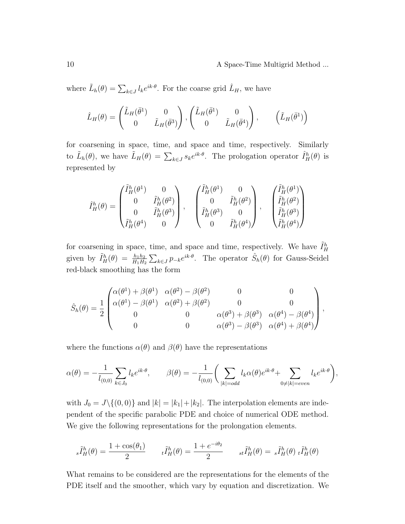10 A Space-Time Multigrid Method ...

where  $\tilde{L}_h(\theta) = \sum_{k \in J} l_k e^{ik \cdot \theta}$ . For the coarse grid  $\hat{L}_H$ , we have

$$
\hat{L}_H(\theta) = \begin{pmatrix} \tilde{L}_H(\bar{\theta}^1) & 0 \\ 0 & \tilde{L}_H(\bar{\theta}^3) \end{pmatrix}, \begin{pmatrix} \tilde{L}_H(\bar{\theta}^1) & 0 \\ 0 & \tilde{L}_H(\bar{\theta}^4) \end{pmatrix}, \qquad (\tilde{L}_H(\bar{\theta}^1))
$$

for coarsening in space, time, and space and time, respectively. Similarly to  $\tilde{L}_h(\theta)$ , we have  $\tilde{L}_H(\theta) = \sum_{k \in J} s_k e^{ik \cdot \theta}$ . The prologation operator  $\hat{I}_H^h(\theta)$  is represented by

$$
\hat{I}^h_H(\theta) = \begin{pmatrix} \tilde{I}^h_H(\theta^1) & 0 \\ 0 & \tilde{I}^h_H(\theta^2) \\ 0 & \tilde{I}^h_H(\theta^3) \\ \tilde{I}^h_H(\theta^4) & 0 \end{pmatrix}, \quad \begin{pmatrix} \tilde{I}^h_H(\theta^1) & 0 \\ 0 & \tilde{I}^h_H(\theta^2) \\ \tilde{I}^h_H(\theta^3) & 0 \\ 0 & \tilde{I}^h_H(\theta^4) \end{pmatrix}, \quad \begin{pmatrix} \tilde{I}^h_H(\theta^1) \\ \tilde{I}^h_H(\theta^2) \\ \tilde{I}^h_H(\theta^3) \\ \tilde{I}^h_H(\theta^4) \end{pmatrix}
$$

for coarsening in space, time, and space and time, respectively. We have  $\tilde{I}_H^h$ given by  $\tilde{I}_H^h(\theta) = \frac{h_1 h_2}{H_1 H_2} \sum_{k \in J} p_{-k} e^{ik \cdot \theta}$ . The operator  $\hat{S}_h(\theta)$  for Gauss-Seidel red-black smoothing has the form

$$
\hat{S}_h(\theta) = \frac{1}{2} \begin{pmatrix} \alpha(\theta^1) + \beta(\theta^1) & \alpha(\theta^2) - \beta(\theta^2) & 0 & 0 \\ \alpha(\theta^1) - \beta(\theta^1) & \alpha(\theta^2) + \beta(\theta^2) & 0 & 0 \\ 0 & 0 & \alpha(\theta^3) + \beta(\theta^3) & \alpha(\theta^4) - \beta(\theta^4) \\ 0 & 0 & \alpha(\theta^3) - \beta(\theta^3) & \alpha(\theta^4) + \beta(\theta^4) \end{pmatrix},
$$

where the functions  $\alpha(\theta)$  and  $\beta(\theta)$  have the representations

$$
\alpha(\theta) = -\frac{1}{l_{(0,0)}} \sum_{k \in J_0} l_k e^{ik \cdot \theta}, \qquad \beta(\theta) = -\frac{1}{l_{(0,0)}} \bigg( \sum_{|k| = odd} l_k \alpha(\theta) e^{ik \cdot \theta} + \sum_{0 \neq |k| = even} l_k e^{ik \cdot \theta} \bigg),
$$

with  $J_0 = J \setminus \{(0, 0)\}\$ and  $|k| = |k_1| + |k_2|$ . The interpolation elements are independent of the specific parabolic PDE and choice of numerical ODE method. We give the following representations for the prolongation elements.

$$
{}_{s}\tilde{I}_{H}^{h}(\theta) = \frac{1+\cos(\theta_{1})}{2} \qquad {}_{t}\tilde{I}_{H}^{h}(\theta) = \frac{1+e^{-i\theta_{2}}}{2} \qquad {}_{st}\tilde{I}_{H}^{h}(\theta) = {}_{s}\tilde{I}_{H}^{h}(\theta) \; {}_{t}\tilde{I}_{H}^{h}(\theta)
$$

What remains to be considered are the representations for the elements of the PDE itself and the smoother, which vary by equation and discretization. We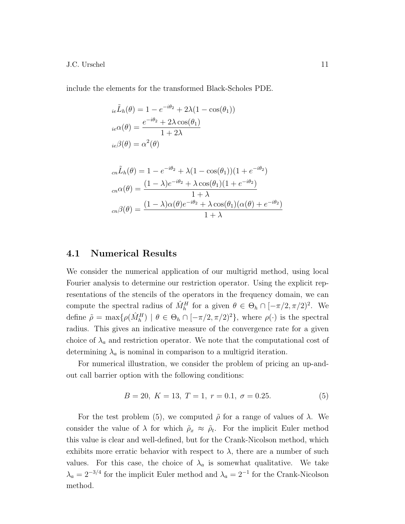include the elements for the transformed Black-Scholes PDE.

$$
i_e\tilde{L}_h(\theta) = 1 - e^{-i\theta_2} + 2\lambda(1 - \cos(\theta_1))
$$
  
\n
$$
i_e\alpha(\theta) = \frac{e^{-i\theta_2} + 2\lambda\cos(\theta_1)}{1 + 2\lambda}
$$
  
\n
$$
i_e\beta(\theta) = \alpha^2(\theta)
$$
  
\n
$$
c_n\tilde{L}_h(\theta) = 1 - e^{-i\theta_2} + \lambda(1 - \cos(\theta_1))(1 + e^{-i\theta_2})
$$
  
\n
$$
c_n\alpha(\theta) = \frac{(1 - \lambda)e^{-i\theta_2} + \lambda\cos(\theta_1)(1 + e^{-i\theta_2})}{1 + \lambda}
$$
  
\n
$$
c_n\beta(\theta) = \frac{(1 - \lambda)\alpha(\theta)e^{-i\theta_2} + \lambda\cos(\theta_1)(\alpha(\theta) + e^{-i\theta_2})}{1 + \lambda}
$$

#### 4.1 Numerical Results

We consider the numerical application of our multigrid method, using local Fourier analysis to determine our restriction operator. Using the explicit representations of the stencils of the operators in the frequency domain, we can compute the spectral radius of  $\hat{M}_h^H$  for a given  $\theta \in \Theta_h \cap [-\pi/2, \pi/2)^2$ . We define  $\tilde{\rho} = \max\{\rho(\hat{M}_h^H) \mid \theta \in \Theta_h \cap [-\pi/2, \pi/2)^2\}$ , where  $\rho(\cdot)$  is the spectral radius. This gives an indicative measure of the convergence rate for a given choice of  $\lambda_a$  and restriction operator. We note that the computational cost of determining  $\lambda_a$  is nominal in comparison to a multigrid iteration.

For numerical illustration, we consider the problem of pricing an up-andout call barrier option with the following conditions:

$$
B = 20, K = 13, T = 1, r = 0.1, \sigma = 0.25.
$$
 (5)

For the test problem (5), we computed  $\tilde{\rho}$  for a range of values of  $\lambda$ . We consider the value of  $\lambda$  for which  $\tilde{\rho}_x \approx \tilde{\rho}_t$ . For the implicit Euler method this value is clear and well-defined, but for the Crank-Nicolson method, which exhibits more erratic behavior with respect to  $\lambda$ , there are a number of such values. For this case, the choice of  $\lambda_a$  is somewhat qualitative. We take  $\lambda_a = 2^{-3/4}$  for the implicit Euler method and  $\lambda_a = 2^{-1}$  for the Crank-Nicolson method.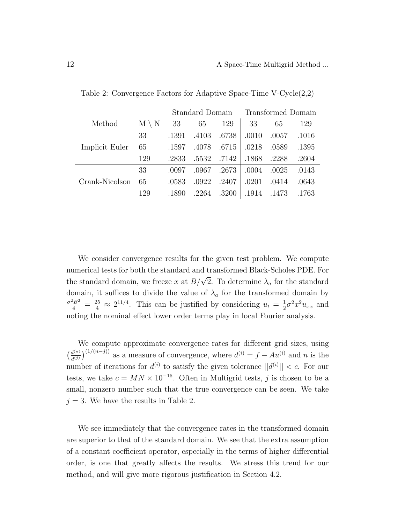|                |                 | Standard Domain |       | Transformed Domain |       |       |       |
|----------------|-----------------|-----------------|-------|--------------------|-------|-------|-------|
| Method         | $M \setminus N$ | 33              | 65    | 129                | 33    | 65    | 129   |
|                | 33              | .1391           | .4103 | .6738              | .0010 | .0057 | .1016 |
| Implicit Euler | 65              | .1597           | .4078 | .6715              | .0218 | .0589 | .1395 |
|                | 129             | .2833           | .5532 | .7142              | .1868 | .2288 | .2604 |
|                | 33              | .0097           | .0967 | .2673              | .0004 | .0025 | .0143 |
| Crank-Nicolson | 65              | .0583           | .0922 | .2407              | .0201 | .0414 | .0643 |
|                | 129             | .1890           | .2264 | .3200              | .1914 | .1473 | .1763 |

Table 2: Convergence Factors for Adaptive Space-Time V-Cycle(2,2)

We consider convergence results for the given test problem. We compute numerical tests for both the standard and transformed Black-Scholes PDE. For the standard domain, we freeze x at  $B/\sqrt{2}$ . To determine  $\lambda_a$  for the standard domain, it suffices to divide the value of  $\lambda_a$  for the transformed domain by  $\frac{\sigma^2 B^2}{4} = \frac{25}{4} \approx 2^{11/4}$ . This can be justified by considering  $u_t = \frac{1}{2}$  $\frac{1}{2}\sigma^2 x^2 u_{xx}$  and noting the nominal effect lower order terms play in local Fourier analysis.

We compute approximate convergence rates for different grid sizes, using  $\left(\frac{d^{(n)}}{d^{(n)}}\right)$  $\frac{d^{(n)}}{d^{(j)}}\big)^{(1/(n-j))}$  as a measure of convergence, where  $d^{(i)} = f - Au^{(i)}$  and n is the number of iterations for  $d^{(i)}$  to satisfy the given tolerance  $||d^{(i)}|| < c$ . For our tests, we take  $c = MN \times 10^{-15}$ . Often in Multigrid tests, j is chosen to be a small, nonzero number such that the true convergence can be seen. We take  $j = 3$ . We have the results in Table 2.

We see immediately that the convergence rates in the transformed domain are superior to that of the standard domain. We see that the extra assumption of a constant coefficient operator, especially in the terms of higher differential order, is one that greatly affects the results. We stress this trend for our method, and will give more rigorous justification in Section 4.2.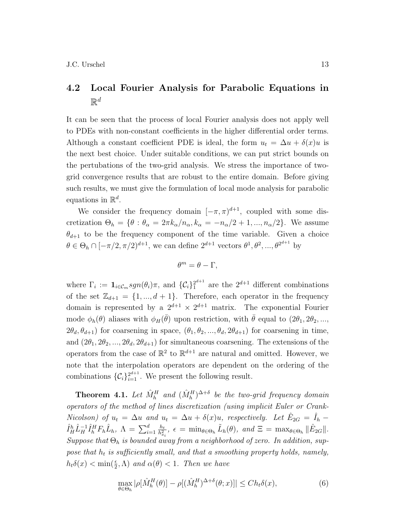### 4.2 Local Fourier Analysis for Parabolic Equations in  $\mathbb{R}^d$

It can be seen that the process of local Fourier analysis does not apply well to PDEs with non-constant coefficients in the higher differential order terms. Although a constant coefficient PDE is ideal, the form  $u_t = \Delta u + \delta(x)u$  is the next best choice. Under suitable conditions, we can put strict bounds on the pertubations of the two-grid analysis. We stress the importance of twogrid convergence results that are robust to the entire domain. Before giving such results, we must give the formulation of local mode analysis for parabolic equations in  $\mathbb{R}^d$ .

We consider the frequency domain  $[-\pi, \pi)^{d+1}$ , coupled with some discretization  $\Theta_h = \{ \theta : \theta_\alpha = 2\pi k_\alpha/n_\alpha, k_\alpha = -n_\alpha/2 + 1, ..., n_\alpha/2 \}.$  We assume  $\theta_{d+1}$  to be the frequency component of the time variable. Given a choice  $\theta \in \Theta_h \cap [-\pi/2, \pi/2]^{d+1}$ , we can define  $2^{d+1}$  vectors  $\theta^1, \theta^2, ..., \theta^{2^{d+1}}$  by

$$
\theta^m = \theta - \Gamma,
$$

where  $\Gamma_i := \mathbf{1}_{i \in \mathcal{C}_m} sgn(\theta_i) \pi$ , and  $\{\mathcal{C}_i\}_1^{2^{d+1}}$  $2^{d+1}$  are the  $2^{d+1}$  different combinations of the set  $\mathbb{Z}_{d+1} = \{1, ..., d+1\}$ . Therefore, each operator in the frequency domain is represented by a  $2^{d+1} \times 2^{d+1}$  matrix. The exponential Fourier mode  $\phi_h(\theta)$  aliases with  $\phi_H(\bar{\theta})$  upon restriction, with  $\bar{\theta}$  equal to  $(2\theta_1, 2\theta_2, ...,$  $2\theta_d, \theta_{d+1}$ ) for coarsening in space,  $(\theta_1, \theta_2, ..., \theta_d, 2\theta_{d+1})$  for coarsening in time, and  $(2\theta_1, 2\theta_2, ..., 2\theta_d, 2\theta_{d+1})$  for simultaneous coarsening. The extensions of the operators from the case of  $\mathbb{R}^2$  to  $\mathbb{R}^{d+1}$  are natural and omitted. However, we note that the interpolation operators are dependent on the ordering of the combinations  $\{\mathcal{C}_i\}_{i=1}^{2^{d+1}}$ . We present the following result.

**Theorem 4.1.** Let  $\hat{M}_h^H$  and  $(\hat{M}_h^H)^{\Delta+\delta}$  be the two-grid frequency domain operators of the method of lines discretization (using implicit Euler or Crank-Nicolson) of  $u_t = \Delta u$  and  $u_t = \Delta u + \delta(x)u$ , respectively. Let  $\hat{E}_{2G} = \hat{I}_h$  $\hat{I}_H^h \hat{L}_H^{-1} \hat{I}_h^H F_h \hat{L}_h, \; \Lambda = \sum_{i=1}^d \frac{h_t}{h_x^2}$  $\frac{h_t}{h_{x_i}^2}$ ,  $\epsilon = \min_{\theta \in \Theta_h} \tilde{L}_h(\theta)$ , and  $\Xi = \max_{\theta \in \Theta_h} ||\hat{E}_{2G}||$ . Suppose that  $\Theta_h$  is bounded away from a neighborhood of zero. In addition, suppose that  $h_t$  is sufficiently small, and that a smoothing property holds, namely,  $h_t\delta(x) < \min(\frac{\epsilon}{2}, \Lambda)$  and  $\alpha(\theta) < 1$ . Then we have

$$
\max_{\theta \in \Theta_h} |\rho[\hat{M}_h^H(\theta)] - \rho[(\hat{M}_h^H)^{\Delta + \delta}(\theta; x)]| \le Ch_t \delta(x),\tag{6}
$$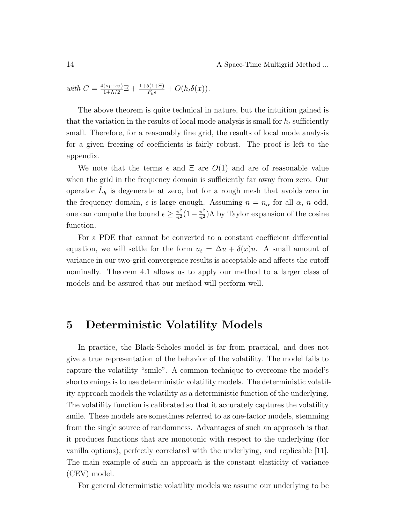14 **A Space-Time Multigrid Method ...** 

with 
$$
C = \frac{4(\nu_1 + \nu_2)}{1 + \Lambda/2} \Xi + \frac{1 + 5(1 + \Xi)}{F_h \epsilon} + O(h_t \delta(x)).
$$

The above theorem is quite technical in nature, but the intuition gained is that the variation in the results of local mode analysis is small for  $h_t$  sufficiently small. Therefore, for a reasonably fine grid, the results of local mode analysis for a given freezing of coefficients is fairly robust. The proof is left to the appendix.

We note that the terms  $\epsilon$  and  $\Xi$  are  $O(1)$  and are of reasonable value when the grid in the frequency domain is sufficiently far away from zero. Our operator  $\hat{L}_h$  is degenerate at zero, but for a rough mesh that avoids zero in the frequency domain,  $\epsilon$  is large enough. Assuming  $n = n_{\alpha}$  for all  $\alpha$ , n odd, one can compute the bound  $\epsilon \geq \frac{\pi^2}{n^2} (1 - \frac{\pi^2}{n^2}) \Lambda$  by Taylor expansion of the cosine function.

For a PDE that cannot be converted to a constant coefficient differential equation, we will settle for the form  $u_t = \Delta u + \delta(x)u$ . A small amount of variance in our two-grid convergence results is acceptable and affects the cutoff nominally. Theorem 4.1 allows us to apply our method to a larger class of models and be assured that our method will perform well.

### 5 Deterministic Volatility Models

In practice, the Black-Scholes model is far from practical, and does not give a true representation of the behavior of the volatility. The model fails to capture the volatility "smile". A common technique to overcome the model's shortcomings is to use deterministic volatility models. The deterministic volatility approach models the volatility as a deterministic function of the underlying. The volatility function is calibrated so that it accurately captures the volatility smile. These models are sometimes referred to as one-factor models, stemming from the single source of randomness. Advantages of such an approach is that it produces functions that are monotonic with respect to the underlying (for vanilla options), perfectly correlated with the underlying, and replicable [11]. The main example of such an approach is the constant elasticity of variance (CEV) model.

For general deterministic volatility models we assume our underlying to be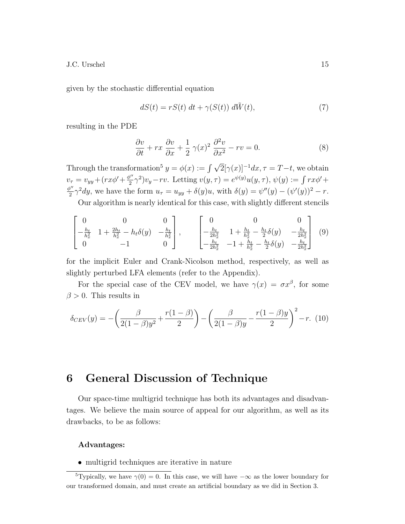given by the stochastic differential equation

$$
dS(t) = rS(t) dt + \gamma(S(t)) d\tilde{W}(t), \qquad (7)
$$

resulting in the PDE

$$
\frac{\partial v}{\partial t} + rx \frac{\partial v}{\partial x} + \frac{1}{2} \gamma(x)^2 \frac{\partial^2 v}{\partial x^2} - rv = 0.
$$
 (8)

Through the transformation<sup>5</sup>  $y = \phi(x) := \int \sqrt{2} [\gamma(x)]^{-1} dx$ ,  $\tau = T - t$ , we obtain  $v_{\tau} = v_{yy} + (rx\phi' + \frac{\phi''}{2})$  $\frac{\partial^{\prime\prime}}{2}\gamma^2)v_y - rv.$  Letting  $v(y,\tau) = e^{\psi(y)}u(y,\tau), \psi(y) := \int rx\phi' +$  $\phi$ "  $\frac{\partial y'}{\partial x} \gamma^2 dy$ , we have the form  $u_{\tau} = u_{yy} + \delta(y)u$ , with  $\delta(y) = \psi''(y) - (\psi'(y))^2 - r$ .

Our algorithm is nearly identical for this case, with slightly different stencils

$$
\begin{bmatrix} 0 & 0 & 0 \ -\frac{h_t}{h_x^2} & 1 + \frac{2h_t}{h_x^2} - h_t \delta(y) & -\frac{h_t}{h_x^2} \\ 0 & -1 & 0 \end{bmatrix}, \qquad \begin{bmatrix} 0 & 0 & 0 \\ -\frac{h_t}{2h_x^2} & 1 + \frac{h_t}{h_x^2} - \frac{h_t}{2} \delta(y) & -\frac{h_t}{2h_x^2} \\ -\frac{h_t}{2h_x^2} & -1 + \frac{h_t}{h_x^2} - \frac{h_t}{2} \delta(y) & -\frac{h_t}{2h_x^2} \end{bmatrix} \tag{9}
$$

for the implicit Euler and Crank-Nicolson method, respectively, as well as slightly perturbed LFA elements (refer to the Appendix).

For the special case of the CEV model, we have  $\gamma(x) = \sigma x^{\beta}$ , for some  $\beta > 0$ . This results in

$$
\delta_{CEV}(y) = -\left(\frac{\beta}{2(1-\beta)y^2} + \frac{r(1-\beta)}{2}\right) - \left(\frac{\beta}{2(1-\beta)y} - \frac{r(1-\beta)y}{2}\right)^2 - r. \tag{10}
$$

### 6 General Discussion of Technique

Our space-time multigrid technique has both its advantages and disadvantages. We believe the main source of appeal for our algorithm, as well as its drawbacks, to be as follows:

#### Advantages:

• multigrid techniques are iterative in nature

<sup>&</sup>lt;sup>5</sup>Typically, we have  $\gamma(0) = 0$ . In this case, we will have  $-\infty$  as the lower boundary for our transformed domain, and must create an artificial boundary as we did in Section 3.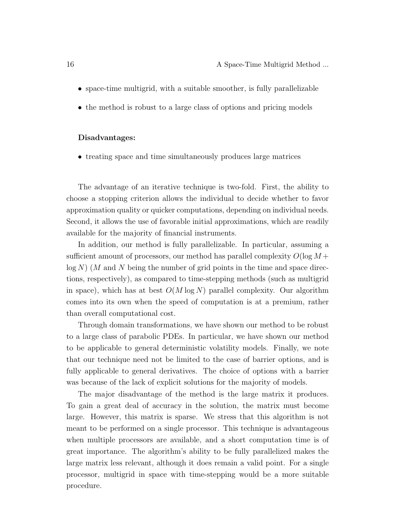- space-time multigrid, with a suitable smoother, is fully parallelizable
- the method is robust to a large class of options and pricing models

#### Disadvantages:

• treating space and time simultaneously produces large matrices

The advantage of an iterative technique is two-fold. First, the ability to choose a stopping criterion allows the individual to decide whether to favor approximation quality or quicker computations, depending on individual needs. Second, it allows the use of favorable initial approximations, which are readily available for the majority of financial instruments.

In addition, our method is fully parallelizable. In particular, assuming a sufficient amount of processors, our method has parallel complexity  $O(\log M +$  $log N$ ) (M and N being the number of grid points in the time and space directions, respectively), as compared to time-stepping methods (such as multigrid in space), which has at best  $O(M \log N)$  parallel complexity. Our algorithm comes into its own when the speed of computation is at a premium, rather than overall computational cost.

Through domain transformations, we have shown our method to be robust to a large class of parabolic PDEs. In particular, we have shown our method to be applicable to general deterministic volatility models. Finally, we note that our technique need not be limited to the case of barrier options, and is fully applicable to general derivatives. The choice of options with a barrier was because of the lack of explicit solutions for the majority of models.

The major disadvantage of the method is the large matrix it produces. To gain a great deal of accuracy in the solution, the matrix must become large. However, this matrix is sparse. We stress that this algorithm is not meant to be performed on a single processor. This technique is advantageous when multiple processors are available, and a short computation time is of great importance. The algorithm's ability to be fully parallelized makes the large matrix less relevant, although it does remain a valid point. For a single processor, multigrid in space with time-stepping would be a more suitable procedure.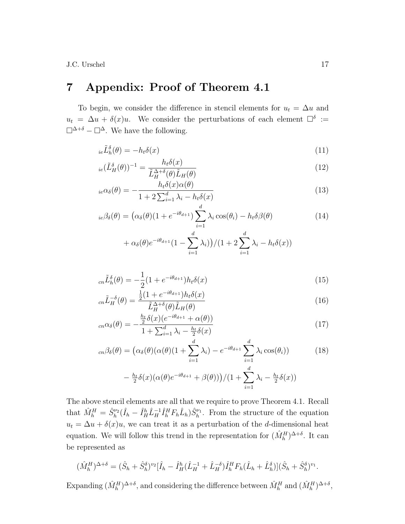# 7 Appendix: Proof of Theorem 4.1

To begin, we consider the difference in stencil elements for  $u_t = \Delta u$  and  $u_t = \Delta u + \delta(x)u$ . We consider the perturbations of each element  $\Box^{\delta}$  :=  $\square^{\Delta+\delta} - \square^{\Delta}$ . We have the following.

$$
i_e\tilde{L}_h^{\delta}(\theta) = -h_t\delta(x) \tag{11}
$$

$$
_{ie}(\tilde{L}_{H}^{\delta}(\theta))^{-1} = \frac{h_{t}\delta(x)}{\tilde{L}_{H}^{\Delta+\delta}(\theta)\tilde{L}_{H}(\theta)}
$$
(12)

$$
i_e \alpha_\delta(\theta) = -\frac{h_t \delta(x)\alpha(\theta)}{1 + 2\sum_{i=1}^d \lambda_i - h_t \delta(x)}
$$
(13)

$$
{}_{ie}\beta_{\delta}(\theta) = \left(\alpha_{\delta}(\theta)(1 + e^{-i\theta_{d+1}})\sum_{i=1}^{d} \lambda_i \cos(\theta_i) - h_t \delta \beta(\theta)\right)
$$
(14)

$$
+\alpha_{\delta}(\theta)e^{-i\theta_{d+1}}(1-\sum_{i=1}^{d}\lambda_i))/(1+2\sum_{i=1}^{d}\lambda_i-h_t\delta(x))
$$

$$
_{cn}\tilde{L}_{h}^{\delta}(\theta) = -\frac{1}{2}(1 + e^{-i\theta_{d+1}})h_{t}\delta(x)
$$
\n(15)

$$
_{cn}\tilde{L}_{H}^{-\delta}(\theta) = \frac{\frac{1}{2}(1 + e^{-i\theta_{d+1}})h_{t}\delta(x)}{\tilde{L}_{H}^{\Delta+\delta}(\theta)\tilde{L}_{H}(\theta)}
$$
(16)

$$
_{cn}\alpha_{\delta}(\theta) = -\frac{\frac{h_t}{2}\delta(x)(e^{-i\theta_{d+1}} + \alpha(\theta))}{1 + \sum_{i=1}^d \lambda_i - \frac{h_t}{2}\delta(x)}
$$
(17)

$$
c_n\beta_\delta(\theta) = \left(\alpha_\delta(\theta)(\alpha(\theta)(1+\sum_{i=1}^d \lambda_i) - e^{-i\theta_{d+1}}\sum_{i=1}^d \lambda_i \cos(\theta_i))\right)
$$
  

$$
-\frac{h_t}{2}\delta(x)(\alpha(\theta)e^{-i\theta_{d+1}} + \beta(\theta))\right)/(1+\sum_{i=1}^d \lambda_i - \frac{h_t}{2}\delta(x))
$$
 (18)

The above stencil elements are all that we require to prove Theorem 4.1. Recall that  $\hat{M}_h^H = \hat{S}_h^{\nu_2}(\hat{I}_h - \hat{I}_H^h \hat{L}_H^{-1} \hat{I}_h^H F_h \hat{L}_h) \hat{S}_h^{\nu_1}$ . From the structure of the equation  $u_t = \Delta u + \delta(x)u$ , we can treat it as a perturbation of the d-dimensional heat equation. We will follow this trend in the representation for  $(\hat{M}_h^H)^{\Delta+\delta}$ . It can be represented as

$$
(\hat{M}_{h}^{H})^{\Delta+\delta} = (\hat{S}_{h} + \hat{S}_{h}^{\delta})^{\nu_{2}} [\hat{I}_{h} - \hat{I}_{H}^{h} (\hat{L}_{H}^{-1} + \hat{L}_{H}^{-\delta}) \hat{I}_{h}^{H} F_{h} (\hat{L}_{h} + \hat{L}_{h}^{\delta})] (\hat{S}_{h} + \hat{S}_{h}^{\delta})^{\nu_{1}}.
$$

Expanding  $(\hat{M}_h^H)^{\Delta+\delta}$ , and considering the difference between  $\hat{M}_h^H$  and  $(\hat{M}_h^H)^{\Delta+\delta}$ ,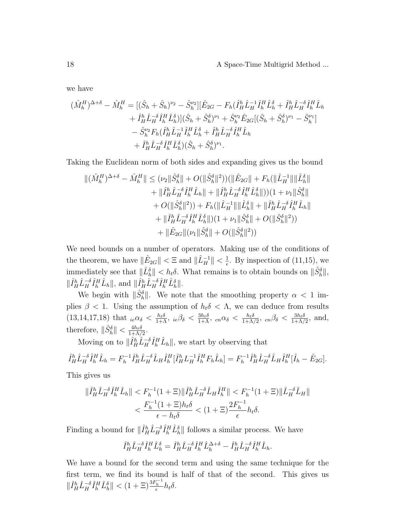we have

$$
\begin{split} (\hat{M}_{h}^{H})^{\Delta+\delta}-\hat{M}_{h}^{H} &=[(\hat{S}_{h}+\hat{S}_{h})^{\nu_{2}}-\hat{S}_{h}^{\nu_{2}}][\hat{E}_{2G}-F_{h}(\hat{I}_{H}^{h}\hat{L}_{H}^{-1}\hat{I}_{H}^{H}\hat{L}_{h}^{\delta}+\hat{I}_{H}^{h}\hat{L}_{H}^{-\delta}\hat{I}_{h}^{H}\hat{L}_{h} \\ &+\hat{I}_{H}^{h}\hat{L}_{H}^{-\delta}\hat{I}_{h}^{H}\hat{L}_{h}^{\delta})](\hat{S}_{h}+\hat{S}_{h}^{\delta})^{\nu_{1}}+\hat{S}_{h}^{\nu_{2}}\hat{E}_{2G}[(\hat{S}_{h}+\hat{S}_{h}^{\delta})^{\nu_{1}}-\hat{S}_{h}^{\nu_{1}}] \\ &-\hat{S}_{h}^{\nu_{2}}F_{h}(\hat{I}_{H}^{h}\hat{L}_{H}^{-1}\hat{I}_{h}^{H}\hat{L}_{h}^{\delta}+\hat{I}_{H}^{h}\hat{L}_{H}^{-\delta}\hat{I}_{h}^{H}\hat{L}_{h} \\ &+\hat{I}_{H}^{h}\hat{L}_{H}^{-\delta}\hat{I}_{h}^{H}\hat{L}_{h}^{\delta})(\hat{S}_{h}+\hat{S}_{h}^{\delta})^{\nu_{1}}. \end{split}
$$

Taking the Euclidean norm of both sides and expanding gives us the bound

$$
\begin{aligned} \|(\hat{M}_{h}^{H})^{\Delta+\delta}-\hat{M}_{h}^{H}\|&\leq(\nu_{2}\|\hat{S}_{h}^{\delta}\|+O(\|\hat{S}_{h}^{\delta}\|^{2}))(\|\hat{E}_{2G}\|+F_{h}(\|\hat{L}_{H}^{-1}\|\|\hat{L}_{h}^{\delta}\|\\ &+\|\hat{I}_{H}^{h}\hat{L}_{H}^{-\delta}\hat{I}_{h}^{H}\hat{L}_{h}\|+\|\hat{I}_{H}^{h}\hat{L}_{H}^{-\delta}\hat{I}_{h}^{H}\hat{L}_{h}^{\delta}\|))(1+\nu_{1}\|\hat{S}_{h}^{\delta}\|\\ &+O(\|\hat{S}_{h}^{\delta}\|^{2}))+F_{h}(\|\hat{L}_{H}^{-1}\|\|\hat{L}_{h}^{\delta}\|+\|\hat{I}_{H}^{h}\hat{L}_{H}^{-\delta}\hat{I}_{h}^{H}\hat{L}_{h}\|\\ &+\|\hat{I}_{H}^{h}\hat{L}_{H}^{-\delta}\hat{I}_{h}^{H}\hat{L}_{h}^{\delta}\|)(1+\nu_{1}\|\hat{S}_{h}^{\delta}\|+O(\|\hat{S}_{h}^{\delta}\|^{2}))\\ &+\|\hat{E}_{2G}\|(\nu_{1}\|\hat{S}_{h}^{\delta}\|+O(\|\hat{S}_{h}^{\delta}\|^{2}))\end{aligned}
$$

We need bounds on a number of operators. Making use of the conditions of the theorem, we have  $\|\hat{E}_{2G}\| < \Xi$  and  $\|\hat{L}_H^{-1}\| < \frac{1}{\epsilon}$  $\frac{1}{\epsilon}$ . By inspection of (11,15), we immediately see that  $\|\hat{L}_h^{\delta}\| < h_t \delta$ . What remains is to obtain bounds on  $\|\hat{S}_h^{\delta}\|$ ,  $\|\hat{I}_H^h \hat{L}_H^{-\delta} \hat{I}_h^H \hat{L}_h\|$ , and  $\|\hat{I}_H^h \hat{L}_H^{-\delta} \hat{I}_h^H \hat{L}_h^{\delta}\|$ .

We begin with  $\|\hat{S}_h^{\delta}\|$ . We note that the smoothing property  $\alpha < 1$  implies  $\beta$  < 1. Using the assumption of  $h_t \delta \langle \Lambda \rangle$ , we can deduce from results  $(13,14,17,18)$  that  ${}_{ie}\alpha_{\delta} < \frac{h_{t}\delta}{1+\Lambda}$ ,  ${}_{ie}\beta_{\delta} < \frac{3h_{t}\delta}{1+\Lambda}$ ,  ${}_{cn}\alpha_{\delta} < \frac{h_{t}\delta}{1+\Lambda}$  $\frac{h_t \delta}{1+\Lambda/2}$ ,  $cn\beta_\delta < \frac{3h_t \delta}{1+\Lambda/2}$  $\frac{3h_t\delta}{1+\Lambda/2}$ , and, therefore,  $\|\hat{S}_h^{\delta}\| < \frac{4h_t\delta}{1+\Lambda}$  $\frac{4h_t\delta}{1+\Lambda/2}$ .

Moving on to  $\|\hat{I}_H^h \hat{L}_H^{-\delta} \hat{I}_h^H \hat{L}_h\|$ , we start by observing that

$$
\hat{I}_{H}^{h}\hat{L}_{H}^{-\delta}\hat{I}_{h}^{H}\hat{L}_{h} = F_{h}^{-1}\hat{I}_{H}^{h}\hat{L}_{H}^{-\delta}\hat{L}_{H}\hat{I}_{h}^{H}[\hat{I}_{H}^{h}L_{H}^{-1}\hat{I}_{h}^{H}F_{h}\hat{L}_{h}] = F_{h}^{-1}\hat{I}_{H}^{h}\hat{L}_{H}^{-\delta}\hat{L}_{H}\hat{I}_{h}^{H}[\hat{I}_{h} - \hat{E}_{2G}].
$$

This gives us

$$
\begin{aligned} \|\hat{I}_H^h \hat{L}_H^{-\delta} \hat{I}_h^H \hat{L}_h \| &< F_h^{-1} (1 + \Xi) \|\hat{I}_H^h \hat{L}_H^{-\delta} \hat{L}_H \hat{I}_h^H \| &< F_h^{-1} (1 + \Xi) \|\hat{L}_H^{-\delta} \hat{L}_H \| \\ &< \frac{F_h^{-1} (1 + \Xi) h_t \delta}{\epsilon - h_t \delta} &< (1 + \Xi) \frac{2F_h^{-1}}{\epsilon} h_t \delta. \end{aligned}
$$

Finding a bound for  $\|\hat{I}_H^h \hat{L}_H^{-\delta} \hat{I}_h^H \hat{L}_h^{\delta}\|$  follows a similar process. We have

$$
\hat{I}_{H}^{h}\hat{L}_{H}^{-\delta}\hat{I}_{h}^{H}\hat{L}_{h}^{\delta} = \hat{I}_{H}^{h}\hat{L}_{H}^{-\delta}\hat{I}_{h}^{H}\hat{L}_{h}^{\Delta+\delta} - \hat{I}_{H}^{h}\hat{L}_{H}^{-\delta}\hat{I}_{h}^{H}\hat{L}_{h}.
$$

We have a bound for the second term and using the same technique for the first term, we find its bound is half of that of the second. This gives us  $\|\hat{I}_H^h \hat{L}_H^{-\delta} \hat{I}_h^H \hat{L}_h^{\delta}\| < (1+\Xi) \frac{3F_h^{-1}}{\epsilon} h_t \delta.$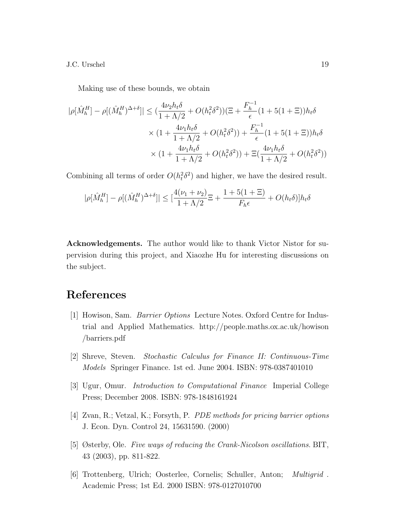Making use of these bounds, we obtain

$$
|\rho[\hat{M}_h^H] - \rho[(\hat{M}_h^H)^{\Delta+\delta}]| \leq (\frac{4\nu_2 h_t \delta}{1 + \Lambda/2} + O(h_t^2 \delta^2)) (\Xi + \frac{F_h^{-1}}{\epsilon} (1 + 5(1 + \Xi)) h_t \delta
$$
  
 
$$
\times (1 + \frac{4\nu_1 h_t \delta}{1 + \Lambda/2} + O(h_t^2 \delta^2)) + \frac{F_h^{-1}}{\epsilon} (1 + 5(1 + \Xi)) h_t \delta
$$
  
 
$$
\times (1 + \frac{4\nu_1 h_t \delta}{1 + \Lambda/2} + O(h_t^2 \delta^2)) + \Xi(\frac{4\nu_1 h_t \delta}{1 + \Lambda/2} + O(h_t^2 \delta^2))
$$

Combining all terms of order  $O(h_t^2 \delta^2)$  and higher, we have the desired result.

$$
|\rho[\hat{M}_h^H] - \rho[(\hat{M}_h^H)^{\Delta+\delta}]| \le \left[\frac{4(\nu_1 + \nu_2)}{1 + \Lambda/2}\Xi + \frac{1 + 5(1 + \Xi)}{F_h\epsilon} + O(h_t\delta)\right]h_t\delta
$$

Acknowledgements. The author would like to thank Victor Nistor for supervision during this project, and Xiaozhe Hu for interesting discussions on the subject.

# References

- [1] Howison, Sam. Barrier Options Lecture Notes. Oxford Centre for Industrial and Applied Mathematics. http://people.maths.ox.ac.uk/howison /barriers.pdf
- [2] Shreve, Steven. Stochastic Calculus for Finance II: Continuous-Time Models Springer Finance. 1st ed. June 2004. ISBN: 978-0387401010
- [3] Ugur, Omur. Introduction to Computational Finance Imperial College Press; December 2008. ISBN: 978-1848161924
- [4] Zvan, R.; Vetzal, K.; Forsyth, P. PDE methods for pricing barrier options J. Econ. Dyn. Control 24, 15631590. (2000)
- [5] Østerby, Ole. Five ways of reducing the Crank-Nicolson oscillations. BIT, 43 (2003), pp. 811-822.
- [6] Trottenberg, Ulrich; Oosterlee, Cornelis; Schuller, Anton; Multigrid . Academic Press; 1st Ed. 2000 ISBN: 978-0127010700